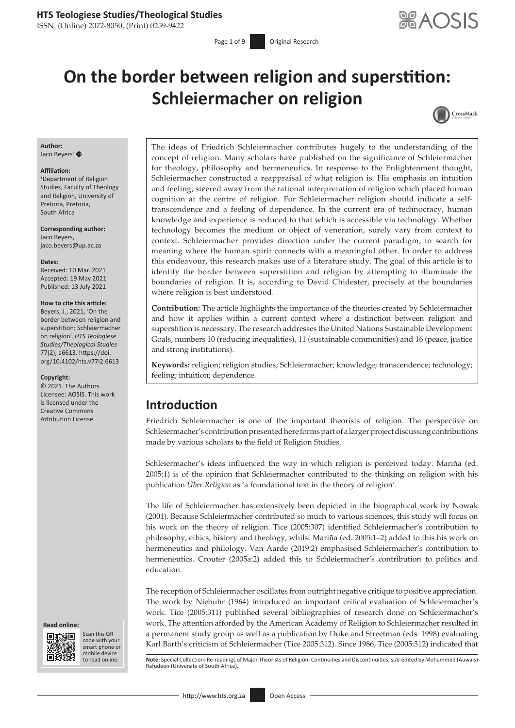ISSN: (Online) 2072-8050, (Print) 0259-9422

Page 1 of 9 **Original Research** 

# **On the border between religion and superstition: Schleiermacher on religion**



#### **Author:** Jaco Beyers<sup>[1](http://orcid.org/0000-0001-5432-2898)</sup>

#### **Affiliation:**

1 Department of Religion Studies, Faculty of Theology and Religion, University of Pretoria, Pretoria, South Africa

**Corresponding author:** Jaco Beyers, [jaco.beyers@up.ac.za](mailto:jaco.beyers@up.ac.za)

#### **Dates:**

Received: 10 Mar. 2021 Accepted: 19 May 2021 Published: 13 July 2021

### **How to cite this article:**

Beyers, J., 2021, 'On the border between religion and superstition: Schleiermacher on religion', *HTS Teologiese Studies/Theological Studies* 77(2), a6613. [https://doi.](https://doi.org/10.4102/hts.v77i2.6613) [org/10.4102/hts.v77i2.6613](https://doi.org/10.4102/hts.v77i2.6613)

#### **Copyright:**

© 2021. The Authors. Licensee: AOSIS. This work is licensed under the Creative Commons Attribution License.





Scan this QR code with your Scan this QR<br>code with your<br>smart phone or<br>mobile device mobile device to read online.

The ideas of Friedrich Schleiermacher contributes hugely to the understanding of the concept of religion. Many scholars have published on the significance of Schleiermacher for theology, philosophy and hermeneutics. In response to the Enlightenment thought, Schleiermacher constructed a reappraisal of what religion is. His emphasis on intuition and feeling, steered away from the rational interpretation of religion which placed human cognition at the centre of religion. For Schleiermacher religion should indicate a selftranscendence and a feeling of dependence. In the current era of technocracy, human knowledge and experience is reduced to that which is accessible via technology. Whether technology becomes the medium or object of veneration, surely vary from context to context. Schleiermacher provides direction under the current paradigm, to search for meaning where the human spirit connects with a meaningful other. In order to address this endeavour, this research makes use of a literature study. The goal of this article is to identify the border between superstition and religion by attempting to illuminate the boundaries of religion. It is, according to David Chidester, precisely at the boundaries where religion is best understood.

**Contribution:** The article highlights the importance of the theories created by Schleiermacher and how it applies within a current context where a distinction between religion and superstition is necessary. The research addresses the United Nations Sustainable Development Goals, numbers 10 (reducing inequalities), 11 (sustainable communities) and 16 (peace, justice and strong institutions).

**Keywords:** religion; religion studies; Schleiermacher; knowledge; transcendence; technology; feeling; intuition; dependence.

# **Introduction**

Friedrich Schleiermacher is one of the important theorists of religion. The perspective on Schleiermacher's contribution presented here forms part of a larger project discussing contributions made by various scholars to the field of Religion Studies.

Schleiermacher's ideas influenced the way in which religion is perceived today. Mariña (ed. 2005:1) is of the opinion that Schleiermacher contributed to the thinking on religion with his publication *Über Religion* as 'a foundational text in the theory of religion'.

The life of Schleiermacher has extensively been depicted in the biographical work by Nowak (2001). Because Schleiermacher contributed so much to various sciences, this study will focus on his work on the theory of religion. Tice (2005:307) identified Schleiermacher's contribution to philosophy, ethics, history and theology, whilst Mariña (ed. 2005:1–2) added to this his work on hermeneutics and philology. Van Aarde (2019:2) emphasised Schleiermacher's contribution to hermeneutics. Crouter (2005a:2) added this to Schleiermacher's contribution to politics and education.

The reception of Schleiermacher oscillates from outright negative critique to positive appreciation. The work by Niebuhr (1964) introduced an important critical evaluation of Schleiermacher's work. Tice (2005:311) published several bibliographies of research done on Schleiermacher's work. The attention afforded by the American Academy of Religion to Schleiermacher resulted in a permanent study group as well as a publication by Duke and Streetman (eds. 1998) evaluating Karl Barth's criticism of Schleiermacher (Tice 2005:312). Since 1986, Tice (2005:312) indicated that

Note: Special Collection: Re-readings of Major Theorists of Religion: Continuities and Discontinuities, sub-edited by Mohammed (Auwais) Rafudeen (University of South Africa).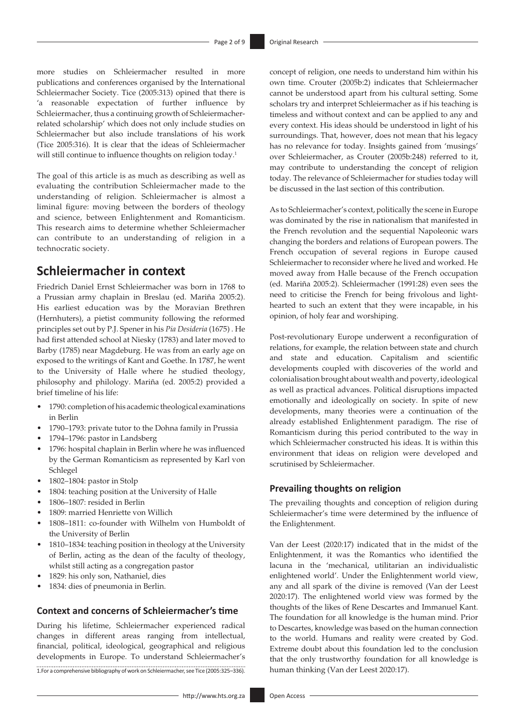more studies on Schleiermacher resulted in more publications and conferences organised by the International Schleiermacher Society. Tice (2005:313) opined that there is 'a reasonable expectation of further influence by Schleiermacher, thus a continuing growth of Schleiermacherrelated scholarship' which does not only include studies on Schleiermacher but also include translations of his work (Tice 2005:316). It is clear that the ideas of Schleiermacher will still continue to influence thoughts on religion today.<sup>1</sup>

The goal of this article is as much as describing as well as evaluating the contribution Schleiermacher made to the understanding of religion. Schleiermacher is almost a liminal figure: moving between the borders of theology and science, between Enlightenment and Romanticism. This research aims to determine whether Schleiermacher can contribute to an understanding of religion in a technocratic society.

# **Schleiermacher in context**

Friedrich Daniel Ernst Schleiermacher was born in 1768 to a Prussian army chaplain in Breslau (ed. Mariña 2005:2). His earliest education was by the Moravian Brethren (Hernhuters), a pietist community following the reformed principles set out by P.J. Spener in his *Pia Desideria* (1675) . He had first attended school at Niesky (1783) and later moved to Barby (1785) near Magdeburg. He was from an early age on exposed to the writings of Kant and Goethe. In 1787, he went to the University of Halle where he studied theology, philosophy and philology. Mariña (ed. 2005:2) provided a brief timeline of his life:

- 1790: completion of his academic theological examinations in Berlin
- 1790–1793: private tutor to the Dohna family in Prussia
- 1794–1796: pastor in Landsberg
- 1796: hospital chaplain in Berlin where he was influenced by the German Romanticism as represented by Karl von Schlegel
- 1802–1804: pastor in Stolp
- 1804: teaching position at the University of Halle
- 1806–1807: resided in Berlin
- 1809: married Henriette von Willich
- 1808–1811: co-founder with Wilhelm von Humboldt of the University of Berlin
- 1810–1834: teaching position in theology at the University of Berlin, acting as the dean of the faculty of theology, whilst still acting as a congregation pastor
- 1829: his only son, Nathaniel, dies
- 1834: dies of pneumonia in Berlin.

### **Context and concerns of Schleiermacher's time**

During his lifetime, Schleiermacher experienced radical changes in different areas ranging from intellectual, financial, political, ideological, geographical and religious developments in Europe. To understand Schleiermacher's 1.For a comprehensive bibliography of work on Schleiermacher, see Tice (2005:325–336). concept of religion, one needs to understand him within his own time. Crouter (2005b:2) indicates that Schleiermacher cannot be understood apart from his cultural setting. Some scholars try and interpret Schleiermacher as if his teaching is timeless and without context and can be applied to any and every context. His ideas should be understood in light of his surroundings. That, however, does not mean that his legacy has no relevance for today. Insights gained from 'musings' over Schleiermacher, as Crouter (2005b:248) referred to it, may contribute to understanding the concept of religion today. The relevance of Schleiermacher for studies today will be discussed in the last section of this contribution.

As to Schleiermacher's context, politically the scene in Europe was dominated by the rise in nationalism that manifested in the French revolution and the sequential Napoleonic wars changing the borders and relations of European powers. The French occupation of several regions in Europe caused Schleiermacher to reconsider where he lived and worked. He moved away from Halle because of the French occupation (ed. Mariña 2005:2). Schleiermacher (1991:28) even sees the need to criticise the French for being frivolous and lighthearted to such an extent that they were incapable, in his opinion, of holy fear and worshiping.

Post-revolutionary Europe underwent a reconfiguration of relations, for example, the relation between state and church and state and education. Capitalism and scientific developments coupled with discoveries of the world and colonialisation brought about wealth and poverty, ideological as well as practical advances. Political disruptions impacted emotionally and ideologically on society. In spite of new developments, many theories were a continuation of the already established Enlightenment paradigm. The rise of Romanticism during this period contributed to the way in which Schleiermacher constructed his ideas. It is within this environment that ideas on religion were developed and scrutinised by Schleiermacher.

### **Prevailing thoughts on religion**

The prevailing thoughts and conception of religion during Schleiermacher's time were determined by the influence of the Enlightenment.

Van der Leest (2020:17) indicated that in the midst of the Enlightenment, it was the Romantics who identified the lacuna in the 'mechanical, utilitarian an individualistic enlightened world'. Under the Enlightenment world view, any and all spark of the divine is removed (Van der Leest 2020:17). The enlightened world view was formed by the thoughts of the likes of Rene Descartes and Immanuel Kant. The foundation for all knowledge is the human mind. Prior to Descartes, knowledge was based on the human connection to the world. Humans and reality were created by God. Extreme doubt about this foundation led to the conclusion that the only trustworthy foundation for all knowledge is human thinking (Van der Leest 2020:17).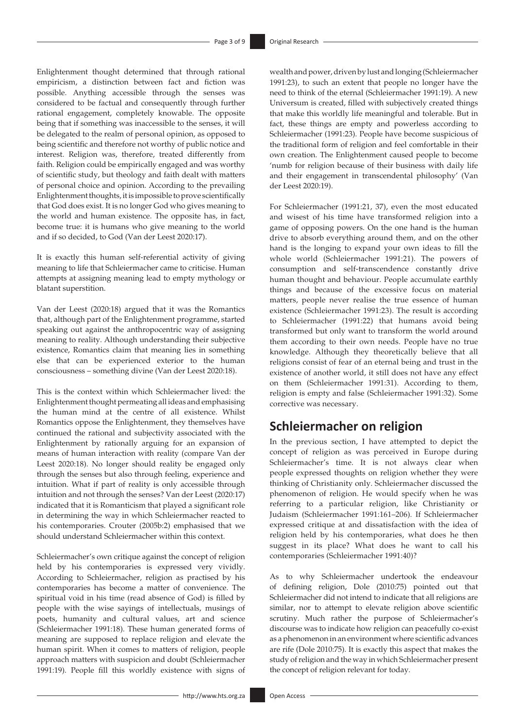Enlightenment thought determined that through rational empiricism, a distinction between fact and fiction was possible. Anything accessible through the senses was considered to be factual and consequently through further rational engagement, completely knowable. The opposite being that if something was inaccessible to the senses, it will be delegated to the realm of personal opinion, as opposed to being scientific and therefore not worthy of public notice and interest. Religion was, therefore, treated differently from faith. Religion could be empirically engaged and was worthy of scientific study, but theology and faith dealt with matters of personal choice and opinion. According to the prevailing Enlightenment thoughts, it is impossible to prove scientifically that God does exist. It is no longer God who gives meaning to the world and human existence. The opposite has, in fact, become true: it is humans who give meaning to the world and if so decided, to God (Van der Leest 2020:17).

It is exactly this human self-referential activity of giving meaning to life that Schleiermacher came to criticise. Human attempts at assigning meaning lead to empty mythology or blatant superstition.

Van der Leest (2020:18) argued that it was the Romantics that, although part of the Enlightenment programme, started speaking out against the anthropocentric way of assigning meaning to reality. Although understanding their subjective existence, Romantics claim that meaning lies in something else that can be experienced exterior to the human consciousness – something divine (Van der Leest 2020:18).

This is the context within which Schleiermacher lived: the Enlightenment thought permeating all ideas and emphasising the human mind at the centre of all existence. Whilst Romantics oppose the Enlightenment, they themselves have continued the rational and subjectivity associated with the Enlightenment by rationally arguing for an expansion of means of human interaction with reality (compare Van der Leest 2020:18). No longer should reality be engaged only through the senses but also through feeling, experience and intuition. What if part of reality is only accessible through intuition and not through the senses? Van der Leest (2020:17) indicated that it is Romanticism that played a significant role in determining the way in which Schleiermacher reacted to his contemporaries. Crouter (2005b:2) emphasised that we should understand Schleiermacher within this context.

Schleiermacher's own critique against the concept of religion held by his contemporaries is expressed very vividly. According to Schleiermacher, religion as practised by his contemporaries has become a matter of convenience. The spiritual void in his time (read absence of God) is filled by people with the wise sayings of intellectuals, musings of poets, humanity and cultural values, art and science (Schleiermacher 1991:18). These human generated forms of meaning are supposed to replace religion and elevate the human spirit. When it comes to matters of religion, people approach matters with suspicion and doubt (Schleiermacher 1991:19). People fill this worldly existence with signs of wealth and power, driven by lust and longing (Schleiermacher 1991:23), to such an extent that people no longer have the need to think of the eternal (Schleiermacher 1991:19). A new Universum is created, filled with subjectively created things that make this worldly life meaningful and tolerable. But in fact, these things are empty and powerless according to Schleiermacher (1991:23). People have become suspicious of the traditional form of religion and feel comfortable in their own creation. The Enlightenment caused people to become 'numb for religion because of their business with daily life and their engagement in transcendental philosophy' (Van der Leest 2020:19).

For Schleiermacher (1991:21, 37), even the most educated and wisest of his time have transformed religion into a game of opposing powers. On the one hand is the human drive to absorb everything around them, and on the other hand is the longing to expand your own ideas to fill the whole world (Schleiermacher 1991:21). The powers of consumption and self-transcendence constantly drive human thought and behaviour. People accumulate earthly things and because of the excessive focus on material matters, people never realise the true essence of human existence (Schleiermacher 1991:23). The result is according to Schleiermacher (1991:22) that humans avoid being transformed but only want to transform the world around them according to their own needs. People have no true knowledge. Although they theoretically believe that all religions consist of fear of an eternal being and trust in the existence of another world, it still does not have any effect on them (Schleiermacher 1991:31). According to them, religion is empty and false (Schleiermacher 1991:32). Some corrective was necessary.

# **Schleiermacher on religion**

In the previous section, I have attempted to depict the concept of religion as was perceived in Europe during Schleiermacher's time. It is not always clear when people expressed thoughts on religion whether they were thinking of Christianity only. Schleiermacher discussed the phenomenon of religion. He would specify when he was referring to a particular religion, like Christianity or Judaism (Schleiermacher 1991:161–206)*.* If Schleiermacher expressed critique at and dissatisfaction with the idea of religion held by his contemporaries, what does he then suggest in its place? What does he want to call his contemporaries (Schleiermacher 1991:40)?

As to why Schleiermacher undertook the endeavour of defining religion, Dole (2010:75) pointed out that Schleiermacher did not intend to indicate that all religions are similar, nor to attempt to elevate religion above scientific scrutiny. Much rather the purpose of Schleiermacher's discourse was to indicate how religion can peacefully co-exist as a phenomenon in an environment where scientific advances are rife (Dole 2010:75). It is exactly this aspect that makes the study of religion and the way in which Schleiermacher present the concept of religion relevant for today.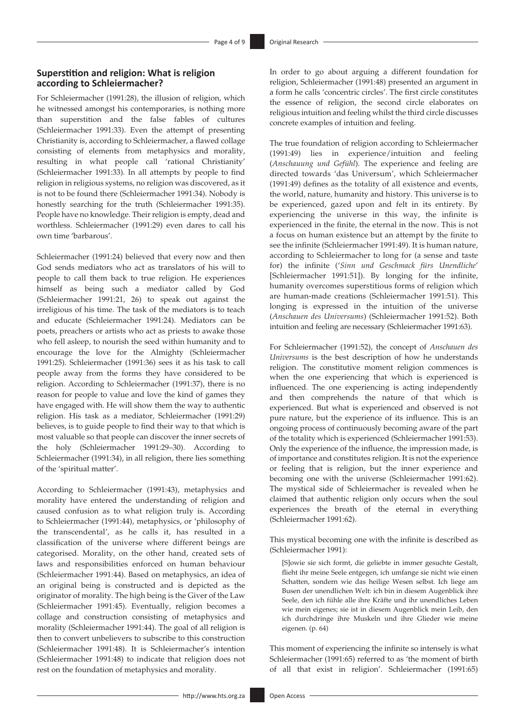### **Superstition and religion: What is religion according to Schleiermacher?**

For Schleiermacher (1991:28), the illusion of religion, which he witnessed amongst his contemporaries, is nothing more than superstition and the false fables of cultures (Schleiermacher 1991:33). Even the attempt of presenting Christianity is, according to Schleiermacher, a flawed collage consisting of elements from metaphysics and morality, resulting in what people call 'rational Christianity' (Schleiermacher 1991:33). In all attempts by people to find religion in religious systems, no religion was discovered, as it is not to be found there (Schleiermacher 1991:34). Nobody is honestly searching for the truth (Schleiermacher 1991:35). People have no knowledge. Their religion is empty, dead and worthless. Schleiermacher (1991:29) even dares to call his own time 'barbarous'.

Schleiermacher (1991:24) believed that every now and then God sends mediators who act as translators of his will to people to call them back to true religion. He experiences himself as being such a mediator called by God (Schleiermacher 1991:21, 26) to speak out against the irreligious of his time. The task of the mediators is to teach and educate (Schleiermacher 1991:24). Mediators can be poets, preachers or artists who act as priests to awake those who fell asleep, to nourish the seed within humanity and to encourage the love for the Almighty (Schleiermacher 1991:25). Schleiermacher (1991:36) sees it as his task to call people away from the forms they have considered to be religion. According to Schleiermacher (1991:37), there is no reason for people to value and love the kind of games they have engaged with. He will show them the way to authentic religion. His task as a mediator, Schleiermacher (1991:29) believes, is to guide people to find their way to that which is most valuable so that people can discover the inner secrets of the holy (Schleiermacher 1991:29–30). According to Schleiermacher (1991:34), in all religion, there lies something of the 'spiritual matter'.

According to Schleiermacher (1991:43), metaphysics and morality have entered the understanding of religion and caused confusion as to what religion truly is. According to Schleiermacher (1991:44), metaphysics, or 'philosophy of the transcendental', as he calls it, has resulted in a classification of the universe where different beings are categorised. Morality, on the other hand, created sets of laws and responsibilities enforced on human behaviour (Schleiermacher 1991:44). Based on metaphysics, an idea of an original being is constructed and is depicted as the originator of morality. The high being is the Giver of the Law (Schleiermacher 1991:45). Eventually, religion becomes a collage and construction consisting of metaphysics and morality (Schleiermacher 1991:44). The goal of all religion is then to convert unbelievers to subscribe to this construction (Schleiermacher 1991:48). It is Schleiermacher's intention (Schleiermacher 1991:48) to indicate that religion does not rest on the foundation of metaphysics and morality.

In order to go about arguing a different foundation for religion, Schleiermacher (1991:48) presented an argument in a form he calls 'concentric circles'. The first circle constitutes the essence of religion, the second circle elaborates on religious intuition and feeling whilst the third circle discusses concrete examples of intuition and feeling.

The true foundation of religion according to Schleiermacher (1991:49) lies in experience/intuition and feeling (*Anschauung und Gefühl*)*.* The experience and feeling are directed towards 'das Universum', which Schleiermacher (1991:49) defines as the totality of all existence and events, the world, nature, humanity and history. This universe is to be experienced, gazed upon and felt in its entirety. By experiencing the universe in this way, the infinite is experienced in the finite, the eternal in the now. This is not a focus on human existence but an attempt by the finite to see the infinite (Schleiermacher 1991:49). It is human nature, according to Schleiermacher to long for (a sense and taste for) the infinite ('*Sinn und Geschmack fürs Unendliche*' [Schleiermacher 1991:51]). By longing for the infinite, humanity overcomes superstitious forms of religion which are human-made creations (Schleiermacher 1991:51). This longing is expressed in the intuition of the universe (*Anschauen des Universums*) (Schleiermacher 1991:52). Both intuition and feeling are necessary (Schleiermacher 1991:63).

For Schleiermacher (1991:52), the concept of *Anschauen des Universums* is the best description of how he understands religion. The constitutive moment religion commences is when the one experiencing that which is experienced is influenced. The one experiencing is acting independently and then comprehends the nature of that which is experienced. But what is experienced and observed is not pure nature, but the experience of its influence. This is an ongoing process of continuously becoming aware of the part of the totality which is experienced (Schleiermacher 1991:53). Only the experience of the influence, the impression made, is of importance and constitutes religion. It is not the experience or feeling that is religion, but the inner experience and becoming one with the universe (Schleiermacher 1991:62). The mystical side of Schleiermacher is revealed when he claimed that authentic religion only occurs when the soul experiences the breath of the eternal in everything (Schleiermacher 1991:62).

This mystical becoming one with the infinite is described as (Schleiermacher 1991):

[S]owie sie sich formt, die geliebte in immer gesuchte Gestalt, flieht ihr meine Seele entgegen, ich umfange sie nicht wie einen Schatten, sondern wie das heilige Wesen selbst. Ich liege am Busen der unendlichen Welt: ich bin in diesem Augenblick ihre Seele, den ich fühle alle ihre Kräfte und ihr unendliches Leben wie mein eigenes; sie ist in diesem Augenblick mein Leib, den ich durchdringe ihre Muskeln und ihre Glieder wie meine eigenen. (p. 64)

This moment of experiencing the infinite so intensely is what Schleiermacher (1991:65) referred to as 'the moment of birth of all that exist in religion'. Schleiermacher (1991:65)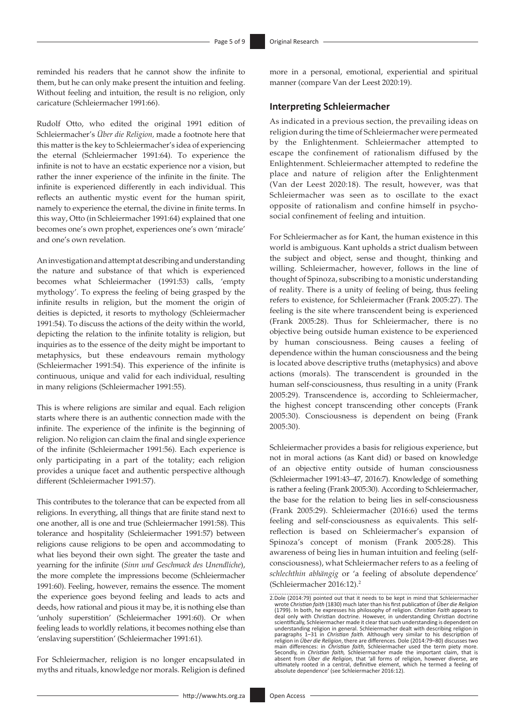reminded his readers that he cannot show the infinite to them, but he can only make present the intuition and feeling. Without feeling and intuition, the result is no religion, only caricature (Schleiermacher 1991:66).

Rudolf Otto, who edited the original 1991 edition of Schleiermacher's *Über die Religion,* made a footnote here that this matter is the key to Schleiermacher's idea of experiencing the eternal (Schleiermacher 1991:64). To experience the infinite is not to have an ecstatic experience nor a vision, but rather the inner experience of the infinite in the finite. The infinite is experienced differently in each individual. This reflects an authentic mystic event for the human spirit, namely to experience the eternal, the divine in finite terms. In this way, Otto (in Schleiermacher 1991:64) explained that one becomes one's own prophet, experiences one's own 'miracle' and one's own revelation.

An investigation and attempt at describing and understanding the nature and substance of that which is experienced becomes what Schleiermacher (1991:53) calls, 'empty mythology'. To express the feeling of being grasped by the infinite results in religion, but the moment the origin of deities is depicted, it resorts to mythology (Schleiermacher 1991:54). To discuss the actions of the deity within the world, depicting the relation to the infinite totality is religion, but inquiries as to the essence of the deity might be important to metaphysics, but these endeavours remain mythology (Schleiermacher 1991:54). This experience of the infinite is continuous, unique and valid for each individual, resulting in many religions (Schleiermacher 1991:55).

This is where religions are similar and equal. Each religion starts where there is an authentic connection made with the infinite. The experience of the infinite is the beginning of religion. No religion can claim the final and single experience of the infinite (Schleiermacher 1991:56). Each experience is only participating in a part of the totality; each religion provides a unique facet and authentic perspective although different (Schleiermacher 1991:57).

This contributes to the tolerance that can be expected from all religions. In everything, all things that are finite stand next to one another, all is one and true (Schleiermacher 1991:58). This tolerance and hospitality (Schleiermacher 1991:57) between religions cause religions to be open and accommodating to what lies beyond their own sight. The greater the taste and yearning for the infinite (*Sinn und Geschmack des Unendliche*), the more complete the impressions become (Schleiermacher 1991:60). Feeling, however, remains the essence. The moment the experience goes beyond feeling and leads to acts and deeds, how rational and pious it may be, it is nothing else than 'unholy superstition' (Schleiermacher 1991:60). Or when feeling leads to worldly relations, it becomes nothing else than 'enslaving superstition' (Schleiermacher 1991:61).

For Schleiermacher, religion is no longer encapsulated in myths and rituals, knowledge nor morals. Religion is defined

more in a personal, emotional, experiential and spiritual manner (compare Van der Leest 2020:19).

### **Interpreting Schleiermacher**

As indicated in a previous section, the prevailing ideas on religion during the time of Schleiermacher were permeated by the Enlightenment. Schleiermacher attempted to escape the confinement of rationalism diffused by the Enlightenment. Schleiermacher attempted to redefine the place and nature of religion after the Enlightenment (Van der Leest 2020:18). The result, however, was that Schleiermacher was seen as to oscillate to the exact opposite of rationalism and confine himself in psychosocial confinement of feeling and intuition.

For Schleiermacher as for Kant, the human existence in this world is ambiguous. Kant upholds a strict dualism between the subject and object, sense and thought, thinking and willing. Schleiermacher, however, follows in the line of thought of Spinoza, subscribing to a monistic understanding of reality. There is a unity of feeling of being, thus feeling refers to existence, for Schleiermacher (Frank 2005:27). The feeling is the site where transcendent being is experienced (Frank 2005:28). Thus for Schleiermacher, there is no objective being outside human existence to be experienced by human consciousness. Being causes a feeling of dependence within the human consciousness and the being is located above descriptive truths (metaphysics) and above actions (morals). The transcendent is grounded in the human self-consciousness, thus resulting in a unity (Frank 2005:29). Transcendence is, according to Schleiermacher, the highest concept transcending other concepts (Frank 2005:30). Consciousness is dependent on being (Frank 2005:30).

Schleiermacher provides a basis for religious experience, but not in moral actions (as Kant did) or based on knowledge of an objective entity outside of human consciousness (Schleiermacher 1991:43–47, 2016:7). Knowledge of something is rather a feeling (Frank 2005:30). According to Schleiermacher, the base for the relation to being lies in self-consciousness (Frank 2005:29). Schleiermacher (2016:6) used the terms feeling and self-consciousness as equivalents. This selfreflection is based on Schleiermacher's expansion of Spinoza's concept of monism (Frank 2005:28). This awareness of being lies in human intuition and feeling (selfconsciousness), what Schleiermacher refers to as a feeling of *schlechthin abhängig* or 'a feeling of absolute dependence' (Schleiermacher 2016:12).2

<sup>2.</sup>Dole (2014:79) pointed out that it needs to be kept in mind that Schleiermacher wrote *Christian faith* (1830) much later than his first publication of *Über die Religion*  (1799). In both, he expresses his philosophy of religion. Christian Faith appears to<br>deal only with Christian doctrine. However, in understanding Christian doctrine<br>scientifically, Schleiermacher made it clear that such un understanding religion in general. Schleiermacher dealt with describing religion in paragraphs 1–31 in *Christian faith.* Although very similar to his description of religion in *Über die Religion*, there are differences. Dole (2014:79–80) discusses two main differences: in *Christian faith,* Schleiermacher used the term piety more.<br>Secondly, in *Christian faith,* Schleiermacher made the important claim, that is<br>absent from *Über die Religion,* that 'all forms of religion absolute dependence' (see Schleiermacher 2016:12).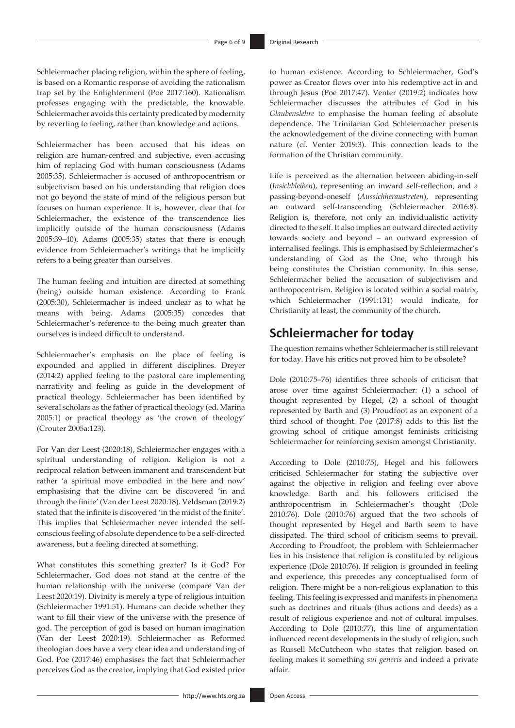Schleiermacher placing religion, within the sphere of feeling, is based on a Romantic response of avoiding the rationalism trap set by the Enlightenment (Poe 2017:160). Rationalism professes engaging with the predictable, the knowable. Schleiermacher avoids this certainty predicated by modernity by reverting to feeling, rather than knowledge and actions.

Schleiermacher has been accused that his ideas on religion are human-centred and subjective, even accusing him of replacing God with human consciousness (Adams 2005:35). Schleiermacher is accused of anthropocentrism or subjectivism based on his understanding that religion does not go beyond the state of mind of the religious person but focuses on human experience. It is, however, clear that for Schleiermacher, the existence of the transcendence lies implicitly outside of the human consciousness (Adams 2005:39–40). Adams (2005:35) states that there is enough evidence from Schleiermacher's writings that he implicitly refers to a being greater than ourselves.

The human feeling and intuition are directed at something (being) outside human existence. According to Frank (2005:30), Schleiermacher is indeed unclear as to what he means with being. Adams (2005:35) concedes that Schleiermacher's reference to the being much greater than ourselves is indeed difficult to understand.

Schleiermacher's emphasis on the place of feeling is expounded and applied in different disciplines. Dreyer (2014:2) applied feeling to the pastoral care implementing narrativity and feeling as guide in the development of practical theology. Schleiermacher has been identified by several scholars as the father of practical theology (ed. Mariña 2005:1) or practical theology as 'the crown of theology' (Crouter 2005a:123).

For Van der Leest (2020:18), Schleiermacher engages with a spiritual understanding of religion. Religion is not a reciprocal relation between immanent and transcendent but rather 'a spiritual move embodied in the here and now' emphasising that the divine can be discovered 'in and through the finite' (Van der Leest 2020:18). Veldsman (2019:2) stated that the infinite is discovered 'in the midst of the finite'. This implies that Schleiermacher never intended the selfconscious feeling of absolute dependence to be a self-directed awareness, but a feeling directed at something.

What constitutes this something greater? Is it God? For Schleiermacher, God does not stand at the centre of the human relationship with the universe (compare Van der Leest 2020:19). Divinity is merely a type of religious intuition (Schleiermacher 1991:51). Humans can decide whether they want to fill their view of the universe with the presence of god. The perception of god is based on human imagination (Van der Leest 2020:19). Schleiermacher as Reformed theologian does have a very clear idea and understanding of God. Poe (2017:46) emphasises the fact that Schleiermacher perceives God as the creator, implying that God existed prior

to human existence. According to Schleiermacher, God's power as Creator flows over into his redemptive act in and through Jesus (Poe 2017:47). Venter (2019:2) indicates how Schleiermacher discusses the attributes of God in his *Glaubenslehre* to emphasise the human feeling of absolute dependence. The Trinitarian God Schleiermacher presents the acknowledgement of the divine connecting with human nature (cf. Venter 2019:3). This connection leads to the formation of the Christian community.

Life is perceived as the alternation between abiding-in-self (*Insichbleiben*), representing an inward self-reflection, and a passing-beyond-oneself (*Aussichheraustreten*), representing an outward self-transcending (Schleiermacher 2016:8). Religion is, therefore, not only an individualistic activity directed to the self. It also implies an outward directed activity towards society and beyond – an outward expression of internalised feelings. This is emphasised by Schleiermacher's understanding of God as the One, who through his being constitutes the Christian community. In this sense, Schleiermacher belied the accusation of subjectivism and anthropocentrism. Religion is located within a social matrix, which Schleiermacher (1991:131) would indicate, for Christianity at least, the community of the church.

# **Schleiermacher for today**

The question remains whether Schleiermacher is still relevant for today. Have his critics not proved him to be obsolete?

Dole (2010:75–76) identifies three schools of criticism that arose over time against Schleiermacher: (1) a school of thought represented by Hegel, (2) a school of thought represented by Barth and (3) Proudfoot as an exponent of a third school of thought. Poe (2017:8) adds to this list the growing school of critique amongst feminists criticising Schleiermacher for reinforcing sexism amongst Christianity.

According to Dole (2010:75), Hegel and his followers criticised Schleiermacher for stating the subjective over against the objective in religion and feeling over above knowledge. Barth and his followers criticised the anthropocentrism in Schleiermacher's thought (Dole 2010:76). Dole (2010:76) argued that the two schools of thought represented by Hegel and Barth seem to have dissipated. The third school of criticism seems to prevail. According to Proudfoot, the problem with Schleiermacher lies in his insistence that religion is constituted by religious experience (Dole 2010:76). If religion is grounded in feeling and experience, this precedes any conceptualised form of religion. There might be a non-religious explanation to this feeling. This feeling is expressed and manifests in phenomena such as doctrines and rituals (thus actions and deeds) as a result of religious experience and not of cultural impulses. According to Dole (2010:77), this line of argumentation influenced recent developments in the study of religion, such as Russell McCutcheon who states that religion based on feeling makes it something *sui generis* and indeed a private affair.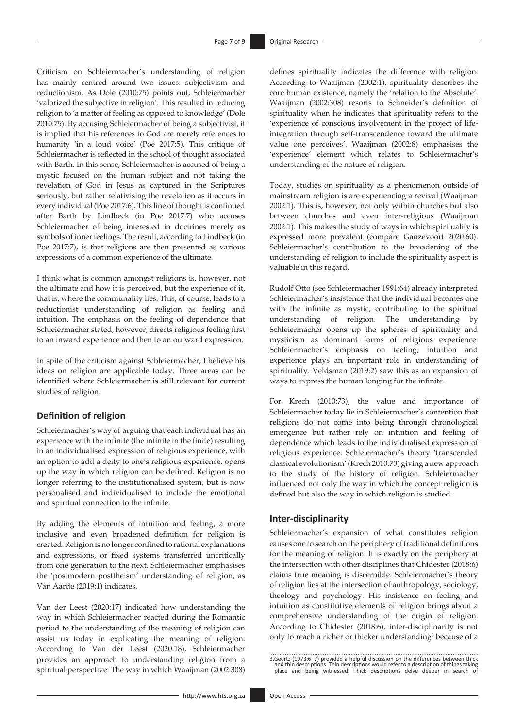Criticism on Schleiermacher's understanding of religion has mainly centred around two issues: subjectivism and reductionism. As Dole (2010:75) points out, Schleiermacher 'valorized the subjective in religion'. This resulted in reducing religion to 'a matter of feeling as opposed to knowledge' (Dole 2010:75). By accusing Schleiermacher of being a subjectivist, it is implied that his references to God are merely references to humanity 'in a loud voice' (Poe 2017:5). This critique of Schleiermacher is reflected in the school of thought associated with Barth. In this sense, Schleiermacher is accused of being a mystic focused on the human subject and not taking the revelation of God in Jesus as captured in the Scriptures seriously, but rather relativising the revelation as it occurs in every individual (Poe 2017:6). This line of thought is continued after Barth by Lindbeck (in Poe 2017:7) who accuses Schleiermacher of being interested in doctrines merely as symbols of inner feelings. The result, according to Lindbeck (in Poe 2017:7), is that religions are then presented as various expressions of a common experience of the ultimate.

I think what is common amongst religions is, however, not the ultimate and how it is perceived, but the experience of it, that is, where the communality lies. This, of course, leads to a reductionist understanding of religion as feeling and intuition. The emphasis on the feeling of dependence that Schleiermacher stated, however, directs religious feeling first to an inward experience and then to an outward expression.

In spite of the criticism against Schleiermacher, I believe his ideas on religion are applicable today. Three areas can be identified where Schleiermacher is still relevant for current studies of religion.

### **Definition of religion**

Schleiermacher's way of arguing that each individual has an experience with the infinite (the infinite in the finite) resulting in an individualised expression of religious experience, with an option to add a deity to one's religious experience, opens up the way in which religion can be defined. Religion is no longer referring to the institutionalised system, but is now personalised and individualised to include the emotional and spiritual connection to the infinite.

By adding the elements of intuition and feeling, a more inclusive and even broadened definition for religion is created. Religion is no longer confined to rational explanations and expressions, or fixed systems transferred uncritically from one generation to the next. Schleiermacher emphasises the 'postmodern posttheism' understanding of religion, as Van Aarde (2019:1) indicates.

Van der Leest (2020:17) indicated how understanding the way in which Schleiermacher reacted during the Romantic period to the understanding of the meaning of religion can assist us today in explicating the meaning of religion. According to Van der Leest (2020:18), Schleiermacher provides an approach to understanding religion from a spiritual perspective. The way in which Waaijman (2002:308)

defines spirituality indicates the difference with religion. According to Waaijman (2002:1), spirituality describes the core human existence, namely the 'relation to the Absolute'. Waaijman (2002:308) resorts to Schneider's definition of spirituality when he indicates that spirituality refers to the 'experience of conscious involvement in the project of lifeintegration through self-transcendence toward the ultimate value one perceives'. Waaijman (2002:8) emphasises the 'experience' element which relates to Schleiermacher's understanding of the nature of religion.

Today, studies on spirituality as a phenomenon outside of mainstream religion is are experiencing a revival (Waaijman 2002:1). This is, however, not only within churches but also between churches and even inter-religious (Waaijman 2002:1). This makes the study of ways in which spirituality is expressed more prevalent (compare Ganzevoort 2020:60). Schleiermacher's contribution to the broadening of the understanding of religion to include the spirituality aspect is valuable in this regard.

Rudolf Otto (see Schleiermacher 1991:64) already interpreted Schleiermacher's insistence that the individual becomes one with the infinite as mystic, contributing to the spiritual understanding of religion. The understanding by Schleiermacher opens up the spheres of spirituality and mysticism as dominant forms of religious experience. Schleiermacher's emphasis on feeling, intuition and experience plays an important role in understanding of spirituality. Veldsman (2019:2) saw this as an expansion of ways to express the human longing for the infinite.

For Krech (2010:73), the value and importance of Schleiermacher today lie in Schleiermacher's contention that religions do not come into being through chronological emergence but rather rely on intuition and feeling of dependence which leads to the individualised expression of religious experience. Schleiermacher's theory 'transcended classical evolutionism' (Krech 2010:73) giving a new approach to the study of the history of religion. Schleiermacher influenced not only the way in which the concept religion is defined but also the way in which religion is studied.

### **Inter-disciplinarity**

Schleiermacher's expansion of what constitutes religion causes one to search on the periphery of traditional definitions for the meaning of religion. It is exactly on the periphery at the intersection with other disciplines that Chidester (2018:6) claims true meaning is discernible. Schleiermacher's theory of religion lies at the intersection of anthropology, sociology, theology and psychology. His insistence on feeling and intuition as constitutive elements of religion brings about a comprehensive understanding of the origin of religion. According to Chidester (2018:6), inter-disciplinarity is not only to reach a richer or thicker understanding<sup>3</sup> because of a

<sup>3.</sup>Geertz (1973:6–7) provided a helpful discussion on the differences between thick and thin descriptions. Thin descriptions would refer to a description of things taking place and being witnessed. Thick descriptions delve deeper in search of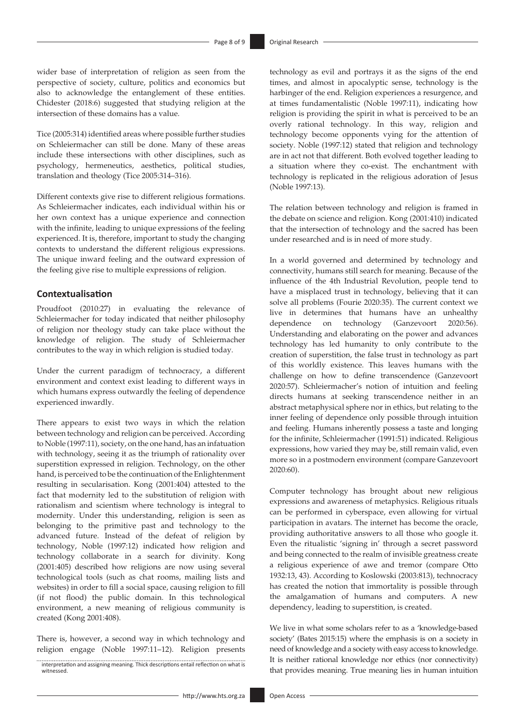wider base of interpretation of religion as seen from the perspective of society, culture, politics and economics but also to acknowledge the entanglement of these entities. Chidester (2018:6) suggested that studying religion at the intersection of these domains has a value.

Tice (2005:314) identified areas where possible further studies on Schleiermacher can still be done. Many of these areas include these intersections with other disciplines, such as psychology, hermeneutics, aesthetics, political studies, translation and theology (Tice 2005:314–316).

Different contexts give rise to different religious formations. As Schleiermacher indicates, each individual within his or her own context has a unique experience and connection with the infinite, leading to unique expressions of the feeling experienced. It is, therefore, important to study the changing contexts to understand the different religious expressions. The unique inward feeling and the outward expression of the feeling give rise to multiple expressions of religion.

### **Contextualisation**

Proudfoot (2010:27) in evaluating the relevance of Schleiermacher for today indicated that neither philosophy of religion nor theology study can take place without the knowledge of religion. The study of Schleiermacher contributes to the way in which religion is studied today.

Under the current paradigm of technocracy, a different environment and context exist leading to different ways in which humans express outwardly the feeling of dependence experienced inwardly.

There appears to exist two ways in which the relation between technology and religion can be perceived. According to Noble (1997:11), society, on the one hand, has an infatuation with technology, seeing it as the triumph of rationality over superstition expressed in religion. Technology, on the other hand, is perceived to be the continuation of the Enlightenment resulting in secularisation. Kong (2001:404) attested to the fact that modernity led to the substitution of religion with rationalism and scientism where technology is integral to modernity. Under this understanding, religion is seen as belonging to the primitive past and technology to the advanced future. Instead of the defeat of religion by technology, Noble (1997:12) indicated how religion and technology collaborate in a search for divinity. Kong (2001:405) described how religions are now using several technological tools (such as chat rooms, mailing lists and websites) in order to fill a social space, causing religion to fill (if not flood) the public domain. In this technological environment, a new meaning of religious community is created (Kong 2001:408).

There is, however, a second way in which technology and religion engage (Noble 1997:11–12). Religion presents technology as evil and portrays it as the signs of the end times, and almost in apocalyptic sense, technology is the harbinger of the end. Religion experiences a resurgence, and at times fundamentalistic (Noble 1997:11), indicating how religion is providing the spirit in what is perceived to be an overly rational technology. In this way, religion and technology become opponents vying for the attention of society. Noble (1997:12) stated that religion and technology are in act not that different. Both evolved together leading to a situation where they co-exist. The enchantment with technology is replicated in the religious adoration of Jesus (Noble 1997:13).

The relation between technology and religion is framed in the debate on science and religion. Kong (2001:410) indicated that the intersection of technology and the sacred has been under researched and is in need of more study.

In a world governed and determined by technology and connectivity, humans still search for meaning. Because of the influence of the 4th Industrial Revolution, people tend to have a misplaced trust in technology, believing that it can solve all problems (Fourie 2020:35). The current context we live in determines that humans have an unhealthy dependence on technology (Ganzevoort 2020:56). Understanding and elaborating on the power and advances technology has led humanity to only contribute to the creation of superstition, the false trust in technology as part of this worldly existence. This leaves humans with the challenge on how to define transcendence (Ganzevoort 2020:57). Schleiermacher's notion of intuition and feeling directs humans at seeking transcendence neither in an abstract metaphysical sphere nor in ethics, but relating to the inner feeling of dependence only possible through intuition and feeling. Humans inherently possess a taste and longing for the infinite, Schleiermacher (1991:51) indicated. Religious expressions, how varied they may be, still remain valid, even more so in a postmodern environment (compare Ganzevoort 2020:60).

Computer technology has brought about new religious expressions and awareness of metaphysics. Religious rituals can be performed in cyberspace, even allowing for virtual participation in avatars. The internet has become the oracle, providing authoritative answers to all those who google it. Even the ritualistic 'signing in' through a secret password and being connected to the realm of invisible greatness create a religious experience of awe and tremor (compare Otto 1932:13, 43). According to Koslowski (2003:813), technocracy has created the notion that immortality is possible through the amalgamation of humans and computers. A new dependency, leading to superstition, is created.

We live in what some scholars refer to as a 'knowledge-based society' (Bates 2015:15) where the emphasis is on a society in need of knowledge and a society with easy access to knowledge. It is neither rational knowledge nor ethics (nor connectivity) that provides meaning. True meaning lies in human intuition

interpretation and assigning meaning. Thick descriptions entail reflection on what is witnessed.